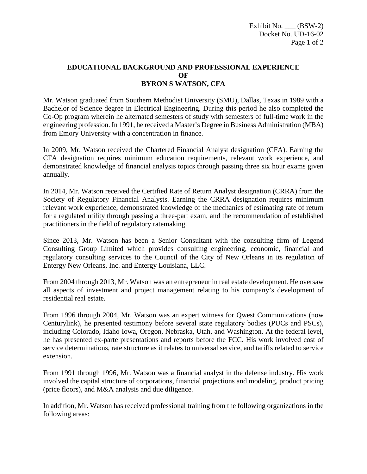## **EDUCATIONAL BACKGROUND AND PROFESSIONAL EXPERIENCE OF BYRON S WATSON, CFA**

Mr. Watson graduated from Southern Methodist University (SMU), Dallas, Texas in 1989 with a Bachelor of Science degree in Electrical Engineering. During this period he also completed the Co-Op program wherein he alternated semesters of study with semesters of full-time work in the engineering profession. In 1991, he received a Master's Degree in Business Administration (MBA) from Emory University with a concentration in finance.

In 2009, Mr. Watson received the Chartered Financial Analyst designation (CFA). Earning the CFA designation requires minimum education requirements, relevant work experience, and demonstrated knowledge of financial analysis topics through passing three six hour exams given annually.

In 2014, Mr. Watson received the Certified Rate of Return Analyst designation (CRRA) from the Society of Regulatory Financial Analysts. Earning the CRRA designation requires minimum relevant work experience, demonstrated knowledge of the mechanics of estimating rate of return for a regulated utility through passing a three-part exam, and the recommendation of established practitioners in the field of regulatory ratemaking.

Since 2013, Mr. Watson has been a Senior Consultant with the consulting firm of Legend Consulting Group Limited which provides consulting engineering, economic, financial and regulatory consulting services to the Council of the City of New Orleans in its regulation of Entergy New Orleans, Inc. and Entergy Louisiana, LLC.

From 2004 through 2013, Mr. Watson was an entrepreneur in real estate development. He oversaw all aspects of investment and project management relating to his company's development of residential real estate.

From 1996 through 2004, Mr. Watson was an expert witness for Qwest Communications (now Centurylink), he presented testimony before several state regulatory bodies (PUCs and PSCs), including Colorado, Idaho Iowa, Oregon, Nebraska, Utah, and Washington. At the federal level, he has presented ex-parte presentations and reports before the FCC. His work involved cost of service determinations, rate structure as it relates to universal service, and tariffs related to service extension.

From 1991 through 1996, Mr. Watson was a financial analyst in the defense industry. His work involved the capital structure of corporations, financial projections and modeling, product pricing (price floors), and M&A analysis and due diligence.

In addition, Mr. Watson has received professional training from the following organizations in the following areas: